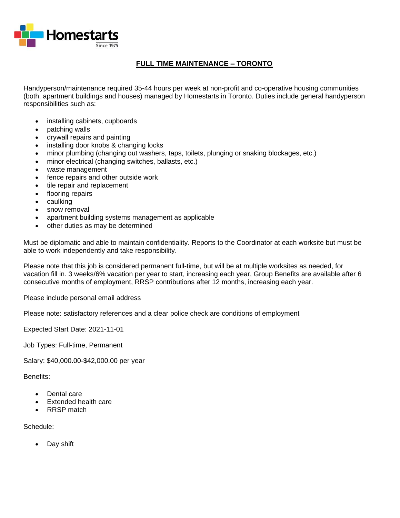

## **FULL TIME MAINTENANCE – TORONTO**

Handyperson/maintenance required 35-44 hours per week at non-profit and co-operative housing communities (both, apartment buildings and houses) managed by Homestarts in Toronto. Duties include general handyperson responsibilities such as:

- installing cabinets, cupboards
- patching walls
- drywall repairs and painting
- installing door knobs & changing locks
- minor plumbing (changing out washers, taps, toilets, plunging or snaking blockages, etc.)
- minor electrical (changing switches, ballasts, etc.)
- waste management
- fence repairs and other outside work
- tile repair and replacement
- flooring repairs
- caulking
- snow removal
- apartment building systems management as applicable
- other duties as may be determined

Must be diplomatic and able to maintain confidentiality. Reports to the Coordinator at each worksite but must be able to work independently and take responsibility.

Please note that this job is considered permanent full-time, but will be at multiple worksites as needed, for vacation fill in. 3 weeks/6% vacation per year to start, increasing each year, Group Benefits are available after 6 consecutive months of employment, RRSP contributions after 12 months, increasing each year.

Please include personal email address

Please note: satisfactory references and a clear police check are conditions of employment

Expected Start Date: 2021-11-01

Job Types: Full-time, Permanent

Salary: \$40,000.00-\$42,000.00 per year

Benefits:

- Dental care
- Extended health care
- RRSP match

Schedule:

Day shift